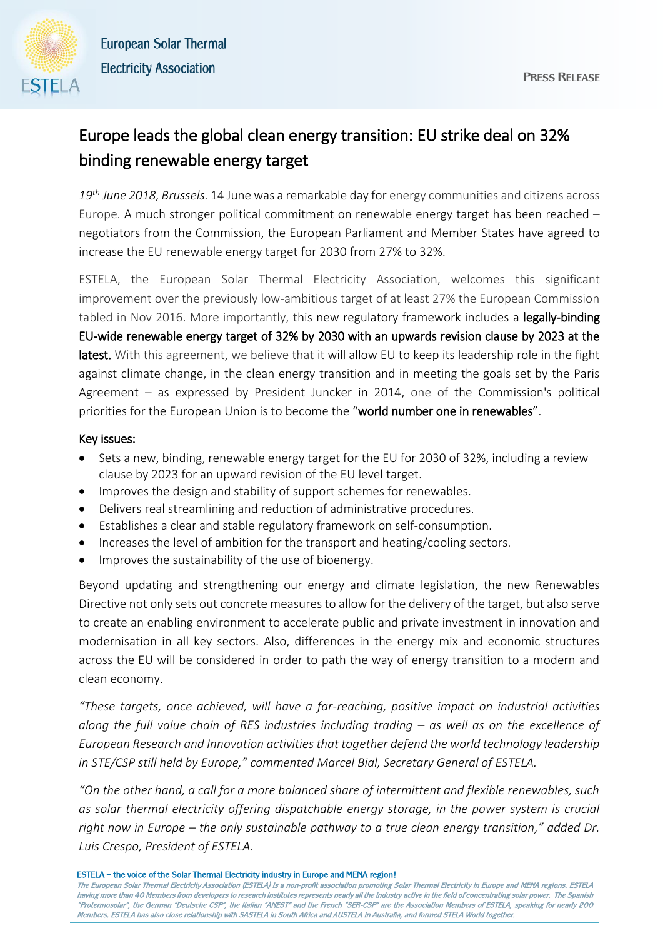

## Europe leads the global clean energy transition: EU strike deal on 32% binding renewable energy target

*19th June 2018, Brussels.* 14 June was a remarkable day for energy communities and citizens across Europe. A much stronger political commitment on renewable energy target has been reached – negotiators from the Commission, the European Parliament and Member States have agreed to increase the EU renewable energy target for 2030 from 27% to 32%.

ESTELA, the European Solar Thermal Electricity Association, welcomes this significant improvement over the previously low-ambitious target of at least 27% the European Commission tabled in Nov 2016. More importantly, this new regulatory framework includes a legally-binding EU-wide renewable energy target of 32% by 2030 with an upwards revision clause by 2023 at the latest. With this agreement, we believe that it will allow EU to keep its leadership role in the fight against climate change, in the clean energy transition and in meeting the goals set by the Paris Agreement – as expressed by President Juncker in 2014, one of the Commission's political priorities for the European Union is to become the "world number one in renewables".

## Key issues:

- Sets a new, binding, renewable energy target for the EU for 2030 of 32%, including a review clause by 2023 for an upward revision of the EU level target.
- Improves the design and stability of support schemes for renewables.
- Delivers real streamlining and reduction of administrative procedures.
- Establishes a clear and stable regulatory framework on self-consumption.
- Increases the level of ambition for the transport and heating/cooling sectors.
- Improves the sustainability of the use of bioenergy.

Beyond updating and strengthening our energy and climate legislation, the new Renewables Directive not only sets out concrete measures to allow for the delivery of the target, but also serve to create an enabling environment to accelerate public and private investment in innovation and modernisation in all key sectors. Also, differences in the energy mix and economic structures across the EU will be considered in order to path the way of energy transition to a modern and clean economy.

*"These targets, once achieved, will have a far-reaching, positive impact on industrial activities along the full value chain of RES industries including trading – as well as on the excellence of European Research and Innovation activities that together defend the world technology leadership in STE/CSP still held by Europe," commented Marcel Bial, Secretary General of ESTELA.*

*"On the other hand, a call for a more balanced share of intermittent and flexible renewables, such as solar thermal electricity offering dispatchable energy storage, in the power system is crucial right now in Europe – the only sustainable pathway to a true clean energy transition," added Dr. Luis Crespo, President of ESTELA.* 

ESTELA – the voice of the Solar Thermal Electricity industry in Europe and MENA region!

The European Solar Thermal Electricity Association (ESTELA) is a non-profit association promoting Solar Thermal Electricity in Europe and MENA regions. ESTELA having more than 40 Members from developers to research institutes represents nearly all the industry active in the field of concentrating solar power. The Spanish "Protermosolar", the German "Deutsche CSP", the Italian "ANEST" and the French "SER-CSP" are the Association Members of ESTELA, speaking for nearly 200 Members. ESTELA has also close relationship with SASTELA in South Africa and AUSTELA in Australia, and formed STELA World together.